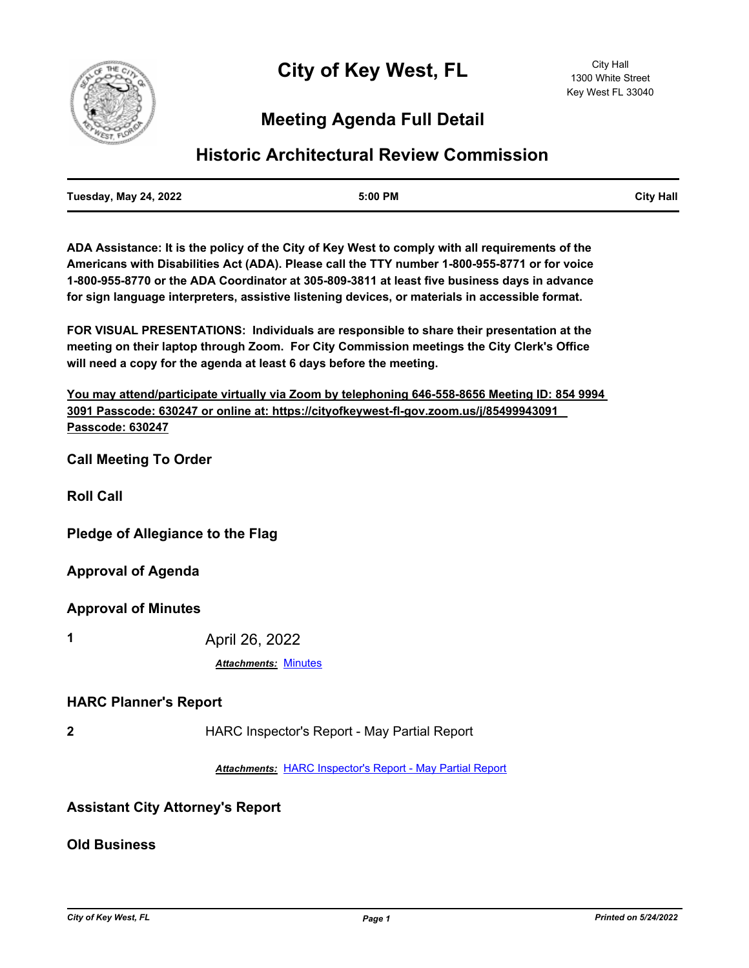

# **Meeting Agenda Full Detail**

## **Historic Architectural Review Commission**

**ADA Assistance: It is the policy of the City of Key West to comply with all requirements of the Americans with Disabilities Act (ADA). Please call the TTY number 1-800-955-8771 or for voice 1-800-955-8770 or the ADA Coordinator at 305-809-3811 at least five business days in advance for sign language interpreters, assistive listening devices, or materials in accessible format.**

**FOR VISUAL PRESENTATIONS: Individuals are responsible to share their presentation at the meeting on their laptop through Zoom. For City Commission meetings the City Clerk's Office will need a copy for the agenda at least 6 days before the meeting.**

**You may attend/participate virtually via Zoom by telephoning 646-558-8656 Meeting ID: 854 9994 3091 Passcode: 630247 or online at: https://cityofkeywest-fl-gov.zoom.us/j/85499943091 Passcode: 630247**

**Call Meeting To Order**

**Roll Call**

**Pledge of Allegiance to the Flag**

**Approval of Agenda**

**Approval of Minutes**

**1** April 26, 2022

*Attachments:* [Minutes](http://KeyWest.legistar.com/gateway.aspx?M=F&ID=76cebe32-27ec-4bd8-8c7e-d8e5ebbeb429.pdf)

#### **HARC Planner's Report**

**2** HARC Inspector's Report - May Partial Report

*Attachments:* [HARC Inspector's Report - May Partial Report](http://KeyWest.legistar.com/gateway.aspx?M=F&ID=94531e0c-b05e-4830-b1d3-15afd98dde38.pdf)

### **Assistant City Attorney's Report**

**Old Business**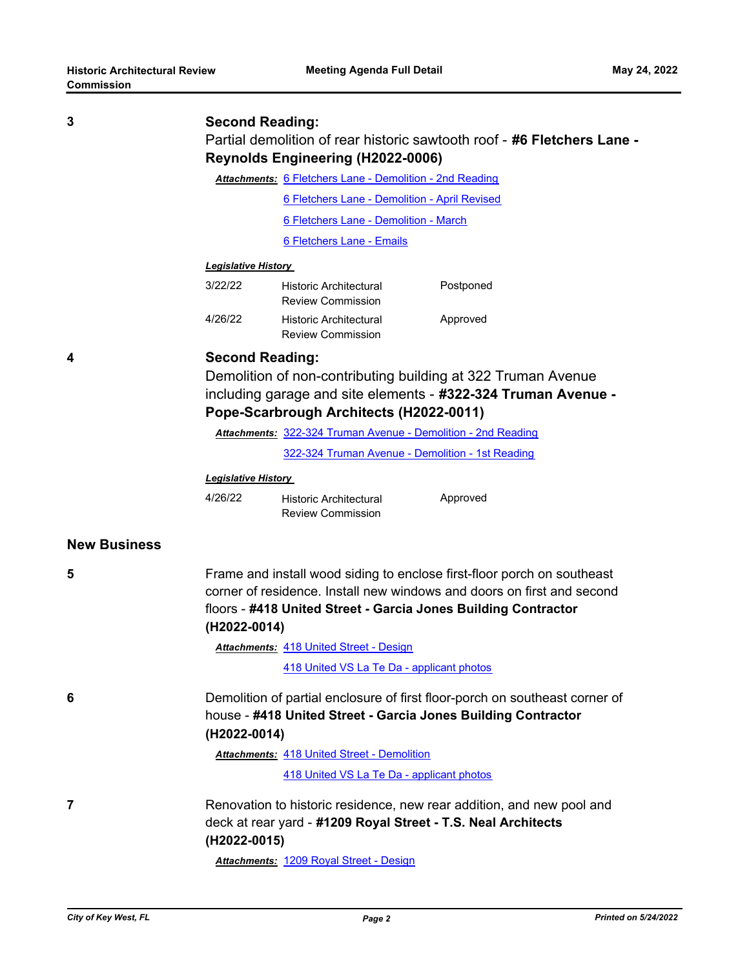| וטוכּכּווווווטט     |                                                                                                                                                              |                                                           |                                                                       |  |
|---------------------|--------------------------------------------------------------------------------------------------------------------------------------------------------------|-----------------------------------------------------------|-----------------------------------------------------------------------|--|
|                     |                                                                                                                                                              |                                                           |                                                                       |  |
| 3                   | <b>Second Reading:</b><br>Partial demolition of rear historic sawtooth roof - #6 Fletchers Lane -                                                            |                                                           |                                                                       |  |
|                     |                                                                                                                                                              |                                                           |                                                                       |  |
|                     |                                                                                                                                                              | Attachments: 6 Fletchers Lane - Demolition - 2nd Reading  |                                                                       |  |
|                     |                                                                                                                                                              | 6 Fletchers Lane - Demolition - April Revised             |                                                                       |  |
|                     |                                                                                                                                                              | 6 Fletchers Lane - Demolition - March                     |                                                                       |  |
|                     |                                                                                                                                                              | 6 Fletchers Lane - Emails                                 |                                                                       |  |
|                     | <b>Legislative History</b>                                                                                                                                   |                                                           |                                                                       |  |
|                     | 3/22/22                                                                                                                                                      | Historic Architectural<br><b>Review Commission</b>        | Postponed                                                             |  |
|                     | 4/26/22                                                                                                                                                      | <b>Historic Architectural</b><br><b>Review Commission</b> | Approved                                                              |  |
| 4                   |                                                                                                                                                              | <b>Second Reading:</b>                                    |                                                                       |  |
|                     | Demolition of non-contributing building at 322 Truman Avenue                                                                                                 |                                                           |                                                                       |  |
|                     | including garage and site elements - #322-324 Truman Avenue -                                                                                                |                                                           |                                                                       |  |
|                     |                                                                                                                                                              | Pope-Scarbrough Architects (H2022-0011)                   |                                                                       |  |
|                     | Attachments: 322-324 Truman Avenue - Demolition - 2nd Reading                                                                                                |                                                           |                                                                       |  |
|                     |                                                                                                                                                              |                                                           | 322-324 Truman Avenue - Demolition - 1st Reading                      |  |
|                     | <u> Legislative History</u>                                                                                                                                  |                                                           |                                                                       |  |
|                     | 4/26/22                                                                                                                                                      | <b>Historic Architectural</b><br><b>Review Commission</b> | Approved                                                              |  |
| <b>New Business</b> |                                                                                                                                                              |                                                           |                                                                       |  |
| 5                   | Frame and install wood siding to enclose first-floor porch on southeast                                                                                      |                                                           |                                                                       |  |
|                     | corner of residence. Install new windows and doors on first and second                                                                                       |                                                           |                                                                       |  |
|                     | floors - #418 United Street - Garcia Jones Building Contractor                                                                                               |                                                           |                                                                       |  |
|                     | (H2022-0014)                                                                                                                                                 |                                                           |                                                                       |  |
|                     |                                                                                                                                                              | <b>Attachments: 418 United Street - Design</b>            |                                                                       |  |
|                     |                                                                                                                                                              | 418 United VS La Te Da - applicant photos                 |                                                                       |  |
| 6                   | Demolition of partial enclosure of first floor-porch on southeast corner of<br>house - #418 United Street - Garcia Jones Building Contractor<br>(H2022-0014) |                                                           |                                                                       |  |
|                     |                                                                                                                                                              | <b>Attachments: 418 United Street - Demolition</b>        |                                                                       |  |
|                     |                                                                                                                                                              | 418 United VS La Te Da - applicant photos                 |                                                                       |  |
| 7                   |                                                                                                                                                              |                                                           | Renovation to historic residence, new rear addition, and new pool and |  |
|                     | (H2022-0015)                                                                                                                                                 |                                                           | deck at rear yard - #1209 Royal Street - T.S. Neal Architects         |  |
|                     |                                                                                                                                                              | Attachments: 1209 Royal Street - Design                   |                                                                       |  |
|                     |                                                                                                                                                              |                                                           |                                                                       |  |